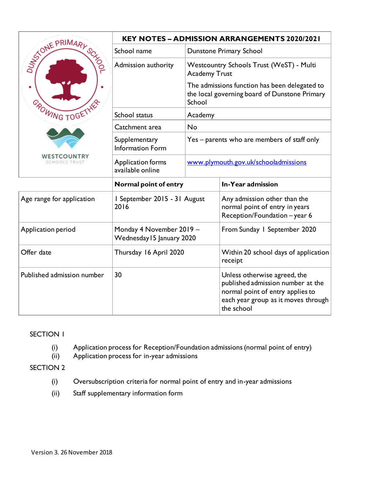|                            | <b>KEY NOTES - ADMISSION ARRANGEMENTS 2020/2021</b>   |                                                                                                          |                                                                                                                                                            |  |
|----------------------------|-------------------------------------------------------|----------------------------------------------------------------------------------------------------------|------------------------------------------------------------------------------------------------------------------------------------------------------------|--|
| STONE PRIMARY SE<br>٠      | School name                                           | Dunstone Primary School                                                                                  |                                                                                                                                                            |  |
|                            | Admission authority                                   |                                                                                                          | Westcountry Schools Trust (WeST) - Multi<br><b>Academy Trust</b>                                                                                           |  |
|                            |                                                       | The admissions function has been delegated to<br>the local governing board of Dunstone Primary<br>School |                                                                                                                                                            |  |
| <b>CROWING TOGE</b>        | School status                                         | Academy                                                                                                  |                                                                                                                                                            |  |
|                            | Catchment area                                        | No                                                                                                       |                                                                                                                                                            |  |
|                            | Supplementary<br>Information Form                     |                                                                                                          | Yes – parents who are members of staff only                                                                                                                |  |
|                            | Application forms<br>available online                 | www.plymouth.gov.uk/schooladmissions                                                                     |                                                                                                                                                            |  |
|                            | Normal point of entry                                 |                                                                                                          | In-Year admission                                                                                                                                          |  |
| Age range for application  | I September 2015 - 31 August<br>2016                  |                                                                                                          | Any admission other than the<br>normal point of entry in years<br>Reception/Foundation - year 6                                                            |  |
| Application period         | Monday 4 November 2019 -<br>Wednesday 15 January 2020 |                                                                                                          | From Sunday 1 September 2020                                                                                                                               |  |
| Offer date                 | Thursday 16 April 2020                                |                                                                                                          | Within 20 school days of application<br>receipt                                                                                                            |  |
| Published admission number | 30                                                    |                                                                                                          | Unless otherwise agreed, the<br>published admission number at the<br>normal point of entry applies to<br>each year group as it moves through<br>the school |  |

### SECTION 1

- (i) Application process for Reception/Foundation admissions (normal point of entry)
- (ii) Application process for in-year admissions

### SECTION 2

- (i) Oversubscription criteria for normal point of entry and in-year admissions
- (ii) Staff supplementary information form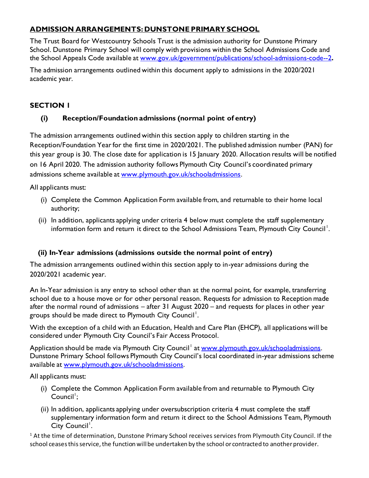## **ADMISSION ARRANGEMENTS: DUNSTONE PRIMARY SCHOOL**

The Trust Board for Westcountry Schools Trust is the admission authority for Dunstone Primary School. Dunstone Primary School will comply with provisions within the School Admissions Code and the School Appeals Code available at [www.gov.uk/government/publications/school-admissions-code--2](http://www.gov.uk/government/publications/school-admissions-code--2)**.**

The admission arrangements outlined within this document apply to admissions in the 2020/2021 academic year.

# **SECTION 1**

# **(i) Reception/Foundation admissions (normal point of entry)**

The admission arrangements outlined within this section apply to children starting in the Reception/Foundation Year for the first time in 2020/2021. The published admission number (PAN) for this year group is 30. The close date for application is 15 January 2020. Allocation results will be notified on 16 April 2020. The admission authority follows Plymouth City Council's coordinated primary admissions scheme available at [www.plymouth.gov.uk/schooladmissions](http://www.plymouth.gov.uk/schooladmissions).

All applicants must:

- (i) Complete the Common Application Form available from, and returnable to their home local authority;
- (ii) In addition, applicants applying under criteria 4 below must complete the staff supplementary information form and return it direct to the School Admissions Team, Plymouth City Council<sup>1</sup>.

## **(ii) In-Year admissions (admissions outside the normal point of entry)**

The admission arrangements outlined within this section apply to in-year admissions during the 2020/2021 academic year.

An In-Year admission is any entry to school other than at the normal point, for example, transferring school due to a house move or for other personal reason. Requests for admission to Reception made after the normal round of admissions – after 31 August 2020 – and requests for places in other year groups should be made direct to Plymouth City Council<sup>1</sup>.

With the exception of a child with an Education, Health and Care Plan (EHCP), all applications will be considered under Plymouth City Council's Fair Access Protocol.

Application should be made via Plymouth City Council<sup>1</sup> at [www.plymouth.gov.uk/schooladmissions](http://www.plymouth.gov.uk/schooladmissions). Dunstone Primary School follows Plymouth City Council's local coordinated in-year admissions scheme available at [www.plymouth.gov.uk/schooladmissions](http://www.plymouth.gov.uk/schooladmissions).

All applicants must:

- (i) Complete the Common Application Form available from and returnable to Plymouth City Council<sup>1</sup>;
- (ii) In addition, applicants applying under oversubscription criteria 4 must complete the staff supplementary information form and return it direct to the School Admissions Team, Plymouth City Council<sup>'</sup>.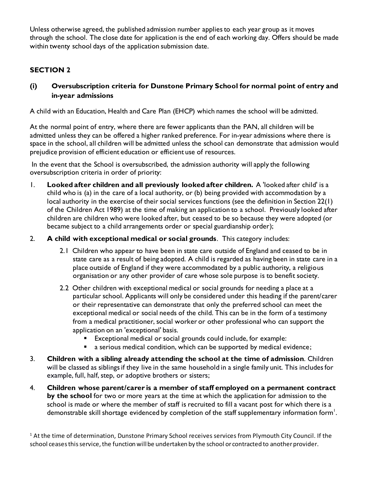Unless otherwise agreed, the published admission number applies to each year group as it moves through the school. The close date for application is the end of each working day. Offers should be made within twenty school days of the application submission date.

# **SECTION 2**

**(i) Oversubscription criteria for Dunstone Primary School for normal point of entry and in-year admissions**

A child with an Education, Health and Care Plan (EHCP) which names the school will be admitted.

At the normal point of entry, where there are fewer applicants than the PAN, all children will be admitted unless they can be offered a higher ranked preference. For in-year admissions where there is space in the school, all children will be admitted unless the school can demonstrate that admission would prejudice provision of efficient education or efficient use of resources.

In the event that the School is oversubscribed, the admission authority will apply the following oversubscription criteria in order of priority:

- 1. **Looked after children and all previously looked after children.** A 'looked after child' is a child who is (a) in the care of a local authority, or (b) being provided with accommodation by a local authority in the exercise of their social services functions (see the definition in Section 22(1) of the Children Act 1989) at the time of making an application to a school. Previously looked after children are children who were looked after, but ceased to be so because they were adopted (or became subject to a child arrangements order or special guardianship order);
- 2. **A child with exceptional medical or social grounds**. This category includes:
	- 2.1 Children who appear to have been in state care outside of England and ceased to be in state care as a result of being adopted. A child is regarded as having been in state care in a place outside of England if they were accommodated by a public authority, a religious organisation or any other provider of care whose sole purpose is to benefit society.
	- 2.2 Other children with exceptional medical or social grounds for needing a place at a particular school. Applicants will only be considered under this heading if the parent/carer or their representative can demonstrate that only the preferred school can meet the exceptional medical or social needs of the child. This can be in the form of a testimony from a medical practitioner, social worker or other professional who can support the application on an 'exceptional' basis.
		- Exceptional medical or social grounds could include, for example:
		- a serious medical condition, which can be supported by medical evidence;
- 3. **Children with a sibling already attending the school at the time of admission**. Children will be classed as siblings if they live in the same household in a single family unit. This includes for example, full, half, step, or adoptive brothers or sisters;
- 4. **Children whose parent/carer is a member of staff employed on a permanent contract by the school** for two or more years at the time at which the application for admission to the school is made or where the member of staff is recruited to fill a vacant post for which there is a demonstrable skill shortage evidenced by completion of the staff supplementary information form $^{\mathsf{l}}.$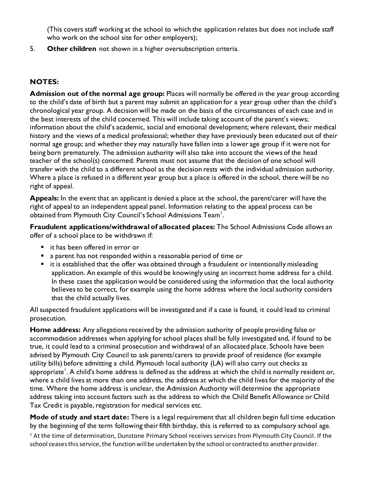(This covers staff working at the school to which the application relates but does not include staff who work on the school site for other employers);

5. **Other children** not shown in a higher oversubscription criteria.

## **NOTES:**

**Admission out of the normal age group:** Places will normally be offered in the year group according to the child's date of birth but a parent may submit an application for a year group other than the child's chronological year group. A decision will be made on the basis of the circumstances of each case and in the best interests of the child concerned. This will include taking account of the parent's views; information about the child's academic, social and emotional development; where relevant, their medical history and the views of a medical professional; whether they have previously been educated out of their normal age group; and whether they may naturally have fallen into a lower age group if it were not for being born prematurely. The admission authority will also take into account the views of the head teacher of the school(s) concerned. Parents must not assume that the decision of one school will transfer with the child to a different school as the decision rests with the individual admission authority. Where a place is refused in a different year group but a place is offered in the school, there will be no right of appeal.

**Appeals:** In the event that an applicant is denied a place at the school, the parent/carer will have the right of appeal to an independent appeal panel. Information relating to the appeal process can be obtained from Plymouth City Council's School Admissions Team<sup>1</sup>.

**Fraudulent applications/withdrawal of allocated places:** The School Admissions Code allows an offer of a school place to be withdrawn if:

- it has been offered in error or
- a parent has not responded within a reasonable period of time or
- it is established that the offer was obtained through a fraudulent or intentionally misleading application. An example of this would be knowingly using an incorrect home address for a child. In these cases the application would be considered using the information that the local authority believes to be correct, for example using the home address where the local authority considers that the child actually lives.

All suspected fraudulent applications will be investigated and if a case is found, it could lead to criminal prosecution.

**Home address:** Any allegations received by the admission authority of people providing false or accommodation addresses when applying for school places shall be fully investigated and, if found to be true, it could lead to a criminal prosecution and withdrawal of an allocated place. Schools have been advised by Plymouth City Council to ask parents/carers to provide proof of residence (for example utility bills) before admitting a child. Plymouth local authority (LA) will also carry out checks as appropriate $^{\rm l}$ . A child's home address is defined as the address at which the child is normally resident or, where a child lives at more than one address, the address at which the child lives for the majority of the time. Where the home address is unclear, the Admission Authority will determine the appropriate address taking into account factors such as the address to which the Child Benefit Allowance or Child Tax Credit is payable, registration for medical services etc.

**Mode of study and start date:** There is a legal requirement that all children begin full time education by the beginning of the term following their fifth birthday, this is referred to as compulsory school age.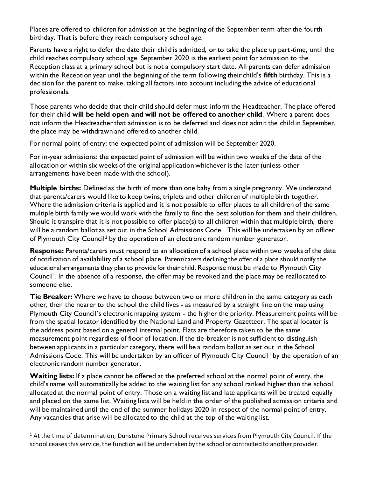Places are offered to children for admission at the beginning of the September term after the fourth birthday. That is before they reach compulsory school age.

Parents have a right to defer the date their child is admitted, or to take the place up part-time, until the child reaches compulsory school age. September 2020 is the earliest point for admission to the Reception class at a primary school but is not a compulsory start date. All parents can defer admission within the Reception year until the beginning of the term following their child's **fifth** birthday. This is a decision for the parent to make, taking all factors into account including the advice of educational professionals.

Those parents who decide that their child should defer must inform the Headteacher. The place offered for their child **will be held open and will not be offered to another child**. Where a parent does not inform the Headteacher that admission is to be deferred and does not admit the child in September, the place may be withdrawn and offered to another child.

For normal point of entry: the expected point of admission will be September 2020.

For in-year admissions: the expected point of admission will be within two weeks of the date of the allocation or within six weeks of the original application whichever is the later (unless other arrangements have been made with the school).

**Multiple births:** Defined as the birth of more than one baby from a single pregnancy. We understand that parents/carers would like to keep twins, triplets and other children of multiple birth together. Where the admission criteria is applied and it is not possible to offer places to all children of the same multiple birth family we would work with the family to find the best solution for them and their children. Should it transpire that it is not possible to offer place(s) to all children within that multiple birth, there will be a random ballot as set out in the School Admissions Code. This will be undertaken by an officer of Plymouth City Council<sup>1</sup> by the operation of an electronic random number generator.

**Response:** Parents/carers must respond to an allocation of a school place within two weeks of the date of notification of availability of a school place. Parent/carers declining the offer of a place should notify the educational arrangements they plan to provide for their child. Response must be made to Plymouth City Council<sup>1</sup>. In the absence of a response, the offer may be revoked and the place may be reallocated to someone else.

**Tie Breaker:** Where we have to choose between two or more children in the same category as each other, then the nearer to the school the child lives - as measured by a straight line on the map using Plymouth City Council's electronic mapping system - the higher the priority. Measurement points will be from the spatial locator identified by the National Land and Property Gazetteer. The spatial locator is the address point based on a general internal point. Flats are therefore taken to be the same measurement point regardless of floor of location. If the tie-breaker is not sufficient to distinguish between applicants in a particular category, there will be a random ballot as set out in the School Admissions Code. This will be undertaken by an officer of Plymouth City Council' by the operation of an electronic random number generator.

**Waiting lists:** If a place cannot be offered at the preferred school at the normal point of entry, the child's name will automatically be added to the waiting list for any school ranked higher than the school allocated at the normal point of entry. Those on a waiting list and late applicants will be treated equally and placed on the same list. Waiting lists will be held in the order of the published admission criteria and will be maintained until the end of the summer holidays 2020 in respect of the normal point of entry. Any vacancies that arise will be allocated to the child at the top of the waiting list.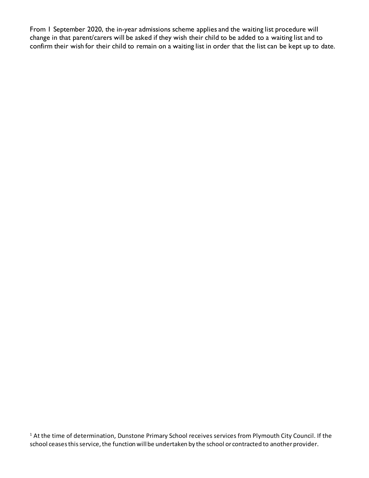From 1 September 2020, the in-year admissions scheme applies and the waiting list procedure will change in that parent/carers will be asked if they wish their child to be added to a waiting list and to confirm their wish for their child to remain on a waiting list in order that the list can be kept up to date.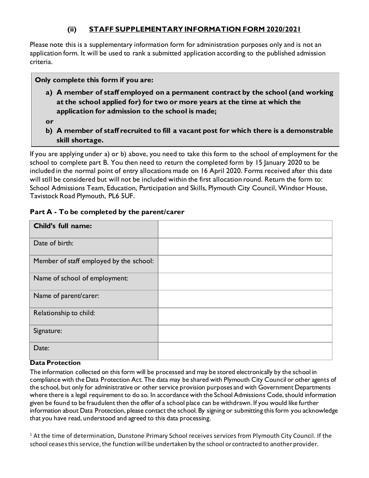### **(ii) STAFF SUPPLEMENTARY INFORMATION FORM 2020/2021**

Please note this is a supplementary information form for administration purposes only and is not an application form. It will be used to rank a submitted application according to the published admission criteria.

### **Only complete this form if you are:**

- **a) A member of staff employed on a permanent contract by the school (and working at the school applied for) for two or more years at the time at which the application for admission to the school is made;**
- **or**
- **b) A member of staff recruited to fill a vacant post for which there is a demonstrable skill shortage.**

If you are applying under a) or b) above, you need to take this form to the school of employment for the school to complete part B. You then need to return the completed form by 15 January 2020 to be included in the normal point of entry allocations made on 16 April 2020. Forms received after this date will still be considered but will not be included within the first allocation round. Return the form to: School Admissions Team, Education, Participation and Skills, Plymouth City Council, Windsor House, Tavistock Road Plymouth, PL6 5UF.

### **Part A - To be completed by the parent/carer**

| Child's full name:                      |  |
|-----------------------------------------|--|
| Date of birth:                          |  |
| Member of staff employed by the school: |  |
| Name of school of employment:           |  |
| Name of parent/carer:                   |  |
| Relationship to child:                  |  |
| Signature:                              |  |
| Date:                                   |  |

#### **Data Protection**

The information collected on this form will be processed and may be stored electronically by the school in compliance with the Data Protection Act. The data may be shared with Plymouth City Council or other agents of the school, but only for administrative or other service provision purposes and with Government Departments where there is a legal requirement to do so. In accordance with the School Admissions Code, should information given be found to be fraudulent then the offer of a school place can be withdrawn. If you would like further information about Data Protection, please contact the school. By signing or submitting this form you acknowledge that you have read, understood and agreed to this data processing.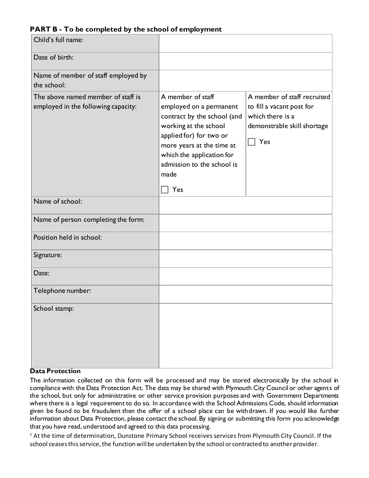### **PART B - To be completed by the school of employment**

| Child's full name:                                                        |                                                                                                                                                                                                                                        |                                                                                                                    |
|---------------------------------------------------------------------------|----------------------------------------------------------------------------------------------------------------------------------------------------------------------------------------------------------------------------------------|--------------------------------------------------------------------------------------------------------------------|
| Date of birth:                                                            |                                                                                                                                                                                                                                        |                                                                                                                    |
| Name of member of staff employed by<br>the school:                        |                                                                                                                                                                                                                                        |                                                                                                                    |
| The above named member of staff is<br>employed in the following capacity: | A member of staff<br>employed on a permanent<br>contract by the school (and<br>working at the school<br>applied for) for two or<br>more years at the time at<br>which the application for<br>admission to the school is<br>made<br>Yes | A member of staff recruited<br>to fill a vacant post for<br>which there is a<br>demonstrable skill shortage<br>Yes |
| Name of school:                                                           |                                                                                                                                                                                                                                        |                                                                                                                    |
| Name of person completing the form:                                       |                                                                                                                                                                                                                                        |                                                                                                                    |
| Position held in school:                                                  |                                                                                                                                                                                                                                        |                                                                                                                    |
| Signature:                                                                |                                                                                                                                                                                                                                        |                                                                                                                    |
| Date:                                                                     |                                                                                                                                                                                                                                        |                                                                                                                    |
| Telephone number:                                                         |                                                                                                                                                                                                                                        |                                                                                                                    |
| School stamp:                                                             |                                                                                                                                                                                                                                        |                                                                                                                    |

#### **Data Protection**

The information collected on this form will be processed and may be stored electronically by the school in compliance with the Data Protection Act. The data may be shared with Plymouth City Council or other agents of the school, but only for administrative or other service provision purposes and with Government Departments where there is a legal requirement to do so. In accordance with the School Admissions Code, should information given be found to be fraudulent then the offer of a school place can be withdrawn. If you would like further information about Data Protection, please contact the school. By signing or submitting this form you acknowledge that you have read, understood and agreed to this data processing.